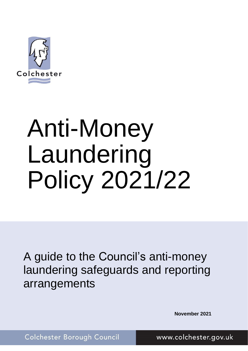

# Anti-Money Laundering Policy 2021/22

A guide to the Council's anti-money laundering safeguards and reporting arrangements

 **November 2021**

Colchester Borough Council

www.colchester.gov.uk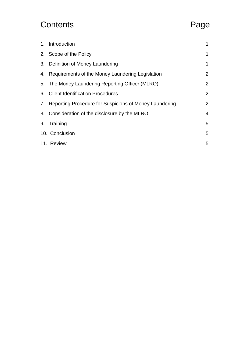# Contents Page

| 1. Introduction                                           | 1              |
|-----------------------------------------------------------|----------------|
| 2. Scope of the Policy                                    | 1              |
| 3. Definition of Money Laundering                         | 1              |
| 4. Requirements of the Money Laundering Legislation       | 2              |
| 5. The Money Laundering Reporting Officer (MLRO)          | 2              |
| 6. Client Identification Procedures                       | $\overline{2}$ |
| 7. Reporting Procedure for Suspicions of Money Laundering | 2              |
| 8. Consideration of the disclosure by the MLRO            | 4              |
| 9. Training                                               | 5              |
| 10. Conclusion                                            | 5              |
| 11. Review                                                | 5              |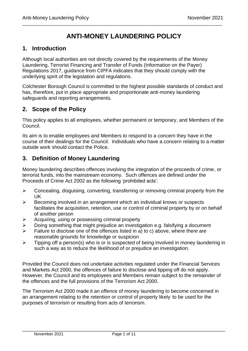## **ANTI-MONEY LAUNDERING POLICY**

\_\_\_\_\_\_\_\_\_\_\_\_\_\_\_\_\_\_\_\_\_\_\_\_\_\_\_\_\_\_\_\_\_\_\_\_\_\_\_\_\_\_\_\_\_\_\_\_\_\_\_\_\_\_\_\_\_\_\_\_\_\_\_\_\_\_\_\_\_\_\_\_\_\_\_\_\_\_\_\_\_\_\_\_\_\_\_\_\_\_\_\_\_\_\_\_\_\_\_\_\_\_\_\_\_\_\_\_

#### <span id="page-2-0"></span>**1. Introduction**

Although local authorities are not directly covered by the requirements of the Money Laundering, Terrorist Financing and Transfer of Funds (Information on the Payer) Regulations 2017, guidance from CIPFA indicates that they should comply with the underlying spirit of the legislation and regulations.

Colchester Borough Council is committed to the highest possible standards of conduct and has, therefore, put in place appropriate and proportionate anti-money laundering safeguards and reporting arrangements.

#### <span id="page-2-1"></span>**2. Scope of the Policy**

This policy applies to all employees, whether permanent or temporary, and Members of the Council.

Its aim is to enable employees and Members to respond to a concern they have in the course of their dealings for the Council. Individuals who have a concern relating to a matter outside work should contact the Police.

#### <span id="page-2-2"></span>**3. Definition of Money Laundering**

Money laundering describes offences involving the integration of the proceeds of crime, or terrorist funds, into the mainstream economy. Such offences are defined under the Proceeds of Crime Act 2002 as the following 'prohibited acts':

- ➢ Concealing, disguising, converting, transferring or removing criminal property from the UK
- ➢ Becoming involved in an arrangement which an individual knows or suspects facilitates the acquisition, retention, use or control of criminal property by or on behalf of another person
- ➢ Acquiring, using or possessing criminal property
- $\triangleright$  Doing something that might prejudice an investigation e.g. falsifying a document
- $\triangleright$  Failure to disclose one of the offences listed in a) to c) above, where there are reasonable grounds for knowledge or suspicion
- $\triangleright$  Tipping off a person(s) who is or is suspected of being involved in money laundering in such a way as to reduce the likelihood of or prejudice an investigation.

Provided the Council does not undertake activities regulated under the Financial Services and Markets Act 2000, the offences of failure to disclose and tipping off do not apply. However, the Council and its employees and Members remain subject to the remainder of the offences and the full provisions of the Terrorism Act 2000.

The Terrorism Act 2000 made it an offence of money laundering to become concerned in an arrangement relating to the retention or control of property likely to be used for the purposes of terrorism or resulting from acts of terrorism.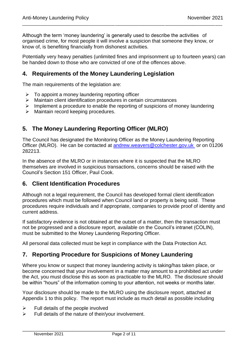Although the term 'money laundering' is generally used to describe the activities of organised crime, for most people it will involve a suspicion that someone they know, or know of, is benefiting financially from dishonest activities.

\_\_\_\_\_\_\_\_\_\_\_\_\_\_\_\_\_\_\_\_\_\_\_\_\_\_\_\_\_\_\_\_\_\_\_\_\_\_\_\_\_\_\_\_\_\_\_\_\_\_\_\_\_\_\_\_\_\_\_\_\_\_\_\_\_\_\_\_\_\_\_\_\_\_\_\_\_\_\_\_\_\_\_\_\_\_\_\_\_\_\_\_\_\_\_\_\_\_\_\_\_\_\_\_\_\_\_\_

Potentially very heavy penalties (unlimited fines and imprisonment up to fourteen years) can be handed down to those who are convicted of one of the offences above.

#### <span id="page-3-0"></span>**4. Requirements of the Money Laundering Legislation**

The main requirements of the legislation are:

- $\triangleright$  To appoint a money laundering reporting officer
- ➢ Maintain client identification procedures in certain circumstances
- ➢ Implement a procedure to enable the reporting of suspicions of money laundering
- ➢ Maintain record keeping procedures.

#### <span id="page-3-1"></span>**5. The Money Laundering Reporting Officer (MLRO)**

The Council has designated the Monitoring Officer as the Money Laundering Reporting Officer (MLRO). He can be contacted at [andrew.weavers@colchester.gov.uk](mailto:andrew.weavers@colchester.gov.uk) or on 01206 282213.

In the absence of the MLRO or in instances where it is suspected that the MLRO themselves are involved in suspicious transactions, concerns should be raised with the Council's Section 151 Officer, Paul Cook.

#### <span id="page-3-2"></span>**6. Client Identification Procedures**

Although not a legal requirement, the Council has developed formal client identification procedures which must be followed when Council land or property is being sold. These procedures require individuals and if appropriate, companies to provide proof of identity and current address.

If satisfactory evidence is not obtained at the outset of a matter, then the transaction must not be progressed and a disclosure report, available on the Council's intranet (COLIN), must be submitted to the Money Laundering Reporting Officer.

All personal data collected must be kept in compliance with the Data Protection Act.

#### <span id="page-3-3"></span>**7. Reporting Procedure for Suspicions of Money Laundering**

Where you know or suspect that money laundering activity is taking/has taken place, or become concerned that your involvement in a matter may amount to a prohibited act under the Act, you must disclose this as soon as practicable to the MLRO. The disclosure should be within "hours" of the information coming to your attention, not weeks or months later.

Your disclosure should be made to the MLRO using the disclosure report, attached at Appendix 1 to this policy. The report must include as much detail as possible including

- $\triangleright$  Full details of the people involved
- ➢ Full details of the nature of their/your involvement.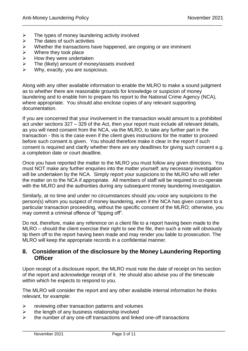- $\triangleright$  The types of money laundering activity involved
- $\triangleright$  The dates of such activities
- ➢ Whether the transactions have happened, are ongoing or are imminent
- 
- $\triangleright$  Where they took place<br> $\triangleright$  How they were underta<br> $\triangleright$  The (likely) amount of i How they were undertaken
- ➢ The (likely) amount of money/assets involved
- $\triangleright$  Why, exactly, you are suspicious.

Along with any other available information to enable the MLRO to make a sound judgment as to whether there are reasonable grounds for knowledge or suspicion of money laundering and to enable him to prepare his report to the National Crime Agency (NCA), where appropriate. You should also enclose copies of any relevant supporting documentation.

\_\_\_\_\_\_\_\_\_\_\_\_\_\_\_\_\_\_\_\_\_\_\_\_\_\_\_\_\_\_\_\_\_\_\_\_\_\_\_\_\_\_\_\_\_\_\_\_\_\_\_\_\_\_\_\_\_\_\_\_\_\_\_\_\_\_\_\_\_\_\_\_\_\_\_\_\_\_\_\_\_\_\_\_\_\_\_\_\_\_\_\_\_\_\_\_\_\_\_\_\_\_\_\_\_\_\_\_

If you are concerned that your involvement in the transaction would amount to a prohibited act under sections 327 – 329 of the Act, then your report must include all relevant details, as you will need consent from the NCA, via the MLRO, to take any further part in the transaction - this is the case even if the client gives instructions for the matter to proceed before such consent is given. You should therefore make it clear in the report if such consent is required and clarify whether there are any deadlines for giving such consent e.g. a completion date or court deadline.

Once you have reported the matter to the MLRO you must follow any given directions. You must NOT make any further enquiries into the matter yourself: any necessary investigation will be undertaken by the NCA. Simply report your suspicions to the MLRO who will refer the matter on to the NCA if appropriate. All members of staff will be required to co-operate with the MLRO and the authorities during any subsequent money laundering investigation.

Similarly, at no time and under no circumstances should you voice any suspicions to the person(s) whom you suspect of money laundering, even if the NCA has given consent to a particular transaction proceeding, without the specific consent of the MLRO; otherwise, you may commit a criminal offence of "tipping off".

Do not, therefore, make any reference on a client file to a report having been made to the MLRO – should the client exercise their right to see the file, then such a note will obviously tip them off to the report having been made and may render you liable to prosecution. The MLRO will keep the appropriate records in a confidential manner.

#### <span id="page-4-0"></span>**8. Consideration of the disclosure by the Money Laundering Reporting Officer**

Upon receipt of a disclosure report, the MLRO must note the date of receipt on his section of the report and acknowledge receipt of it. He should also advise you of the timescale within which he expects to respond to you.

The MLRO will consider the report and any other available internal information he thinks relevant, for example:

- $\triangleright$  reviewing other transaction patterns and volumes
- $\triangleright$  the length of any business relationship involved
- ➢ the number of any one-off transactions and linked one-off transactions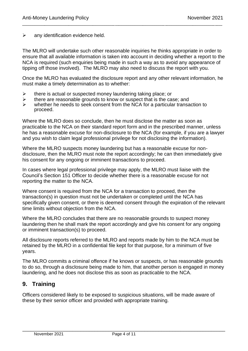$\triangleright$  any identification evidence held.

The MLRO will undertake such other reasonable inquiries he thinks appropriate in order to ensure that all available information is taken into account in deciding whether a report to the NCA is required (such enquiries being made in such a way as to avoid any appearance of tipping off those involved). The MLRO may also need to discuss the report with you.

\_\_\_\_\_\_\_\_\_\_\_\_\_\_\_\_\_\_\_\_\_\_\_\_\_\_\_\_\_\_\_\_\_\_\_\_\_\_\_\_\_\_\_\_\_\_\_\_\_\_\_\_\_\_\_\_\_\_\_\_\_\_\_\_\_\_\_\_\_\_\_\_\_\_\_\_\_\_\_\_\_\_\_\_\_\_\_\_\_\_\_\_\_\_\_\_\_\_\_\_\_\_\_\_\_\_\_\_

Once the MLRO has evaluated the disclosure report and any other relevant information, he must make a timely determination as to whether:

- $\triangleright$  there is actual or suspected money laundering taking place; or
- $\triangleright$  there are reasonable grounds to know or suspect that is the case; and  $\triangleright$  whether he needs to seek consent from the NCA for a particular transation
- whether he needs to seek consent from the NCA for a particular transaction to proceed.

Where the MLRO does so conclude, then he must disclose the matter as soon as practicable to the NCA on their standard report form and in the prescribed manner, unless he has a reasonable excuse for non-disclosure to the NCA (for example, if you are a lawyer and you wish to claim legal professional privilege for not disclosing the information).

Where the MLRO suspects money laundering but has a reasonable excuse for nondisclosure, then the MLRO must note the report accordingly; he can then immediately give his consent for any ongoing or imminent transactions to proceed.

In cases where legal professional privilege may apply, the MLRO must liaise with the Council's Section 151 Officer to decide whether there is a reasonable excuse for not reporting the matter to the NCA.

Where consent is required from the NCA for a transaction to proceed, then the transaction(s) in question must not be undertaken or completed until the NCA has specifically given consent, or there is deemed consent through the expiration of the relevant time limits without objection from the NCA.

Where the MLRO concludes that there are no reasonable grounds to suspect money laundering then he shall mark the report accordingly and give his consent for any ongoing or imminent transaction(s) to proceed.

All disclosure reports referred to the MLRO and reports made by him to the NCA must be retained by the MLRO in a confidential file kept for that purpose, for a minimum of five years.

The MLRO commits a criminal offence if he knows or suspects, or has reasonable grounds to do so, through a disclosure being made to him, that another person is engaged in money laundering, and he does not disclose this as soon as practicable to the NCA.

#### <span id="page-5-0"></span>**9. Training**

Officers considered likely to be exposed to suspicious situations, will be made aware of these by their senior officer and provided with appropriate training.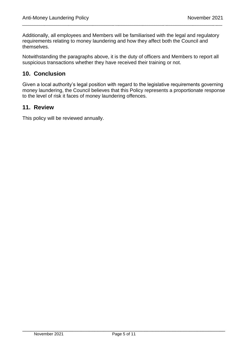Additionally, all employees and Members will be familiarised with the legal and regulatory requirements relating to money laundering and how they affect both the Council and themselves.

\_\_\_\_\_\_\_\_\_\_\_\_\_\_\_\_\_\_\_\_\_\_\_\_\_\_\_\_\_\_\_\_\_\_\_\_\_\_\_\_\_\_\_\_\_\_\_\_\_\_\_\_\_\_\_\_\_\_\_\_\_\_\_\_\_\_\_\_\_\_\_\_\_\_\_\_\_\_\_\_\_\_\_\_\_\_\_\_\_\_\_\_\_\_\_\_\_\_\_\_\_\_\_\_\_\_\_\_

Notwithstanding the paragraphs above, it is the duty of officers and Members to report all suspicious transactions whether they have received their training or not.

### <span id="page-6-0"></span>**10. Conclusion**

Given a local authority's legal position with regard to the legislative requirements governing money laundering, the Council believes that this Policy represents a proportionate response to the level of risk it faces of money laundering offences.

#### <span id="page-6-1"></span>**11. Review**

This policy will be reviewed annually.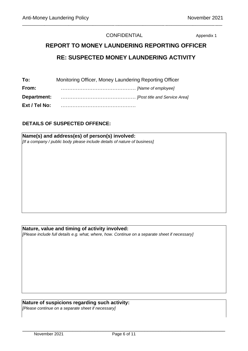#### CONFIDENTIAL Appendix 1

\_\_\_\_\_\_\_\_\_\_\_\_\_\_\_\_\_\_\_\_\_\_\_\_\_\_\_\_\_\_\_\_\_\_\_\_\_\_\_\_\_\_\_\_\_\_\_\_\_\_\_\_\_\_\_\_\_\_\_\_\_\_\_\_\_\_\_\_\_\_\_\_\_\_\_\_\_\_\_\_\_\_\_\_\_\_\_\_\_\_\_\_\_\_\_\_\_\_\_\_\_\_\_\_\_\_\_\_

# **REPORT TO MONEY LAUNDERING REPORTING OFFICER RE: SUSPECTED MONEY LAUNDERING ACTIVITY**

| To:           | Monitoring Officer, Money Laundering Reporting Officer |  |  |
|---------------|--------------------------------------------------------|--|--|
| From:         |                                                        |  |  |
| Department:   | [Post title and Service Area]                          |  |  |
| Ext / Tel No: |                                                        |  |  |

#### **DETAILS OF SUSPECTED OFFENCE:**

**Name(s) and address(es) of person(s) involved:**  *[If a company / public body please include details of nature of business]* 

#### **Nature, value and timing of activity involved:**

*[Please include full details e.g. what, where, how. Continue on a separate sheet if necessary]* 

#### **Nature of suspicions regarding such activity:**

*[Please continue on a separate sheet if necessary]*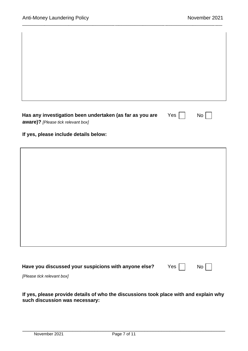| Has any investigation been undertaken (as far as you are<br>aware)? [Please tick relevant box] | Yes | No |  |
|------------------------------------------------------------------------------------------------|-----|----|--|
| If yes, please include details below:                                                          |     |    |  |
|                                                                                                |     |    |  |
|                                                                                                |     |    |  |
|                                                                                                |     |    |  |
|                                                                                                |     |    |  |
|                                                                                                |     |    |  |
|                                                                                                |     |    |  |
|                                                                                                |     |    |  |
| Have you discussed your suspicions with anyone else?                                           | Yes | No |  |

\_\_\_\_\_\_\_\_\_\_\_\_\_\_\_\_\_\_\_\_\_\_\_\_\_\_\_\_\_\_\_\_\_\_\_\_\_\_\_\_\_\_\_\_\_\_\_\_\_\_\_\_\_\_\_\_\_\_\_\_\_\_\_\_\_\_\_\_\_\_\_\_\_\_\_\_\_\_\_\_\_\_\_\_\_\_\_\_\_\_\_\_\_\_\_\_\_\_\_\_\_\_\_\_\_\_\_\_

*[Please tick relevant box]*

#### **If yes, please provide details of who the discussions took place with and explain why such discussion was necessary:**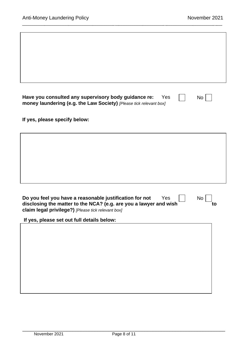| to |
|----|
|    |
|    |
|    |
|    |
|    |

\_\_\_\_\_\_\_\_\_\_\_\_\_\_\_\_\_\_\_\_\_\_\_\_\_\_\_\_\_\_\_\_\_\_\_\_\_\_\_\_\_\_\_\_\_\_\_\_\_\_\_\_\_\_\_\_\_\_\_\_\_\_\_\_\_\_\_\_\_\_\_\_\_\_\_\_\_\_\_\_\_\_\_\_\_\_\_\_\_\_\_\_\_\_\_\_\_\_\_\_\_\_\_\_\_\_\_\_